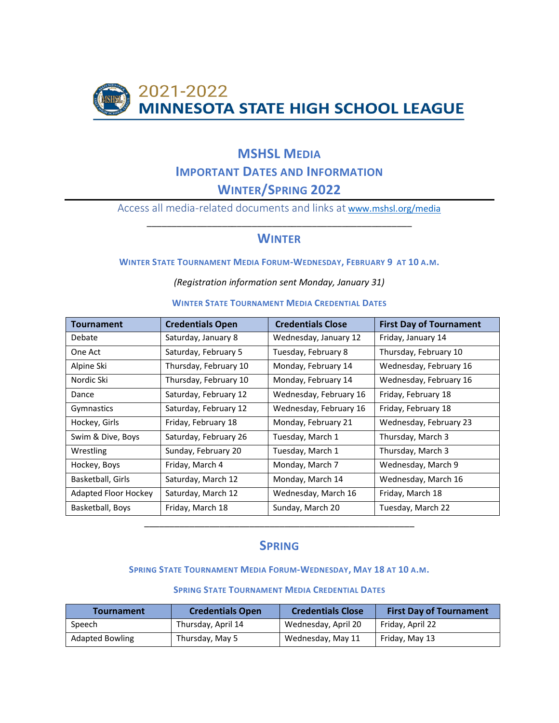

# **MSHSL MEDIA IMPORTANT DATES AND INFORMATION WINTER/SPRING 2022**

Access all media-related documents and links at [www.mshsl.org/media](http://www.mshsl.org/media) \_\_\_\_\_\_\_\_\_\_\_\_\_\_\_\_\_\_\_\_\_\_\_\_\_\_\_\_\_\_\_\_\_\_\_\_\_\_\_\_\_\_\_\_\_\_\_\_\_\_\_\_\_

## **WINTER**

### **WINTER STATE TOURNAMENT MEDIA FORUM-WEDNESDAY, FEBRUARY 9 AT 10 A.M.**

*(Registration information sent Monday, January 31)*

| <b>WINTER STATE TOURNAMENT MEDIA CREDENTIAL DATES</b> |  |
|-------------------------------------------------------|--|
|                                                       |  |

| <b>Tournament</b>    | <b>Credentials Open</b> | <b>Credentials Close</b> | <b>First Day of Tournament</b> |
|----------------------|-------------------------|--------------------------|--------------------------------|
| Debate               | Saturday, January 8     | Wednesday, January 12    | Friday, January 14             |
| One Act              | Saturday, February 5    | Tuesday, February 8      | Thursday, February 10          |
| Alpine Ski           | Thursday, February 10   | Monday, February 14      | Wednesday, February 16         |
| Nordic Ski           | Thursday, February 10   | Monday, February 14      | Wednesday, February 16         |
| Dance                | Saturday, February 12   | Wednesday, February 16   | Friday, February 18            |
| Gymnastics           | Saturday, February 12   | Wednesday, February 16   | Friday, February 18            |
| Hockey, Girls        | Friday, February 18     | Monday, February 21      | Wednesday, February 23         |
| Swim & Dive, Boys    | Saturday, February 26   | Tuesday, March 1         | Thursday, March 3              |
| Wrestling            | Sunday, February 20     | Tuesday, March 1         | Thursday, March 3              |
| Hockey, Boys         | Friday, March 4         | Monday, March 7          | Wednesday, March 9             |
| Basketball, Girls    | Saturday, March 12      | Monday, March 14         | Wednesday, March 16            |
| Adapted Floor Hockey | Saturday, March 12      | Wednesday, March 16      | Friday, March 18               |
| Basketball, Boys     | Friday, March 18        | Sunday, March 20         | Tuesday, March 22              |

### **SPRING**

\_\_\_\_\_\_\_\_\_\_\_\_\_\_\_\_\_\_\_\_\_\_\_\_\_\_\_\_\_\_\_\_\_\_\_\_\_\_\_\_\_\_\_\_\_\_\_\_\_\_\_\_\_\_

### **SPRING STATE TOURNAMENT MEDIA FORUM-WEDNESDAY, MAY 18 AT 10 A.M.**

#### **SPRING STATE TOURNAMENT MEDIA CREDENTIAL DATES**

| <b>Tournament</b>      | <b>Credentials Open</b> | <b>Credentials Close</b> | <b>First Day of Tournament</b> |
|------------------------|-------------------------|--------------------------|--------------------------------|
| Speech                 | Thursday, April 14      | Wednesday, April 20      | Friday, April 22               |
| <b>Adapted Bowling</b> | Thursday, May 5         | Wednesday, May 11        | Friday, May 13                 |